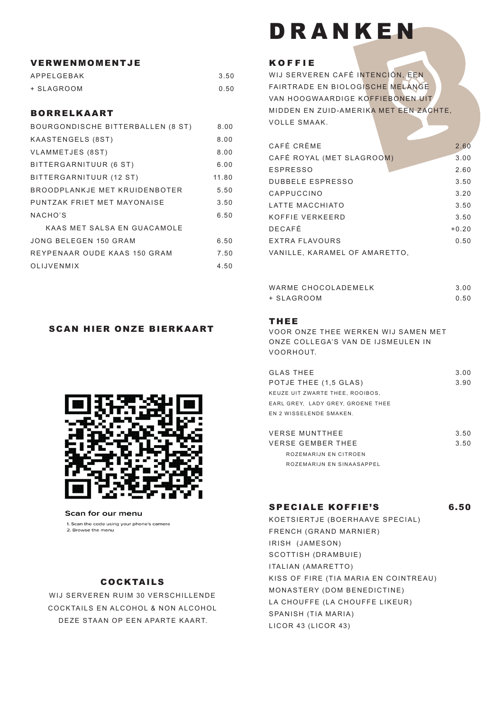#### VERWENMOMENTJE

| APPELGEBAK | 3.50 |
|------------|------|
| + SLAGROOM | 0.50 |

#### BORRELKAART

| BOURGONDISCHE BITTERBALLEN (8 ST) | 8.00  |
|-----------------------------------|-------|
| KAASTENGELS (8ST)                 | 8.00  |
| VLAMMETJES (8ST)                  | 8.00  |
| BITTERGARNITUUR (6 ST)            | 6.00  |
| BITTERGARNITUUR (12 ST)           | 11.80 |
| BROODPLANKJE MET KRUIDENBOTER     | 5.50  |
| PUNTZAK FRIET MET MAYONAISE       | 3.50  |
| NACHO'S                           | 6.50  |
| KAAS MET SALSA EN GUACAMOLE       |       |
| JONG BELEGEN 150 GRAM             | 6.50  |
| REYPENAAR OUDE KAAS 150 GRAM      | 7.50  |
| <b>OLIJVENMIX</b>                 | 4.50  |

### SCAN HIER ONZE BIERKAART



Scan for our menu

1. Scan the code using your phone's camera 2. Browse the menu

# COCKTAILS

WIJ SERVEREN RUIM 30 VERSCHILLENDE COCKTAILS EN ALCOHOL & NON ALCOHOL DEZE STAAN OP EEN APARTE KAART.

# DRANKEN

#### KOFFIE

WIJ SERVEREN CAFÉ INTENCIÓN, EEN FAIRTRADE EN BIOLOGISCHE MELANGE VAN HOOGWAARDIGE KOFFIEBONEN UIT MIDDEN EN ZUID-AMERIKA MET EEN ZACHTE, VOLLE SMAAK.

| CAFÉ CRÈME                    | 2.60    |
|-------------------------------|---------|
| CAFÉ ROYAL (MET SLAGROOM)     | 3.00    |
| <b>ESPRESSO</b>               | 2.60    |
| <b>DUBBELE ESPRESSO</b>       | 3.50    |
| CAPPUCCINO                    | 3.20    |
| LATTE MACCHIATO               | 3.50    |
| KOFFIF VERKFFRD               | 3.50    |
| <b>DECAFÉ</b>                 | $+0.20$ |
| EXTRA FLAVOURS                | 0.50    |
| VANILLE, KARAMEL OF AMARETTO, |         |

| WARME CHOCOLADEMELK | 3.00 |
|---------------------|------|
| + SLAGROOM          | 0.50 |

#### THEE

VOOR ONZE THEE WERKEN WIJ SAMEN MET ONZE COLLEGA'S VAN DE IJSMEULEN IN VOORHOUT.

| <b>GLAS THEE</b>                  | 3.00 |
|-----------------------------------|------|
| POTJE THEE (1,5 GLAS)             | 3.90 |
| KEUZE UIT ZWARTE THEE, ROOIBOS,   |      |
| EARL GREY. LADY GREY. GROENE THEE |      |
| EN 2 WISSELENDE SMAKEN.           |      |
|                                   |      |
| <b>VERSE MUNTTHEE</b>             | 350  |

VERSE GEMBER THEE 3.50 ROZEMARIJN EN CITROEN ROZEMARIJN EN SINAASAPPEL

#### SPECIALE KOFFIE'S 6.50

KOETSIERTJE (BOERHAAVE SPECIAL) FRENCH (GRAND MARNIER) IRISH (JAMESON) SCOTTISH (DRAMBUIE) ITALIAN (AMARETTO) KISS OF FIRE (TIA MARIA EN COINTREAU) MONASTERY (DOM BENEDICTINE) LA CHOUFFE (LA CHOUFFE LIKEUR) SPANISH (TIA MARIA) LICOR 43 (LICOR 43)